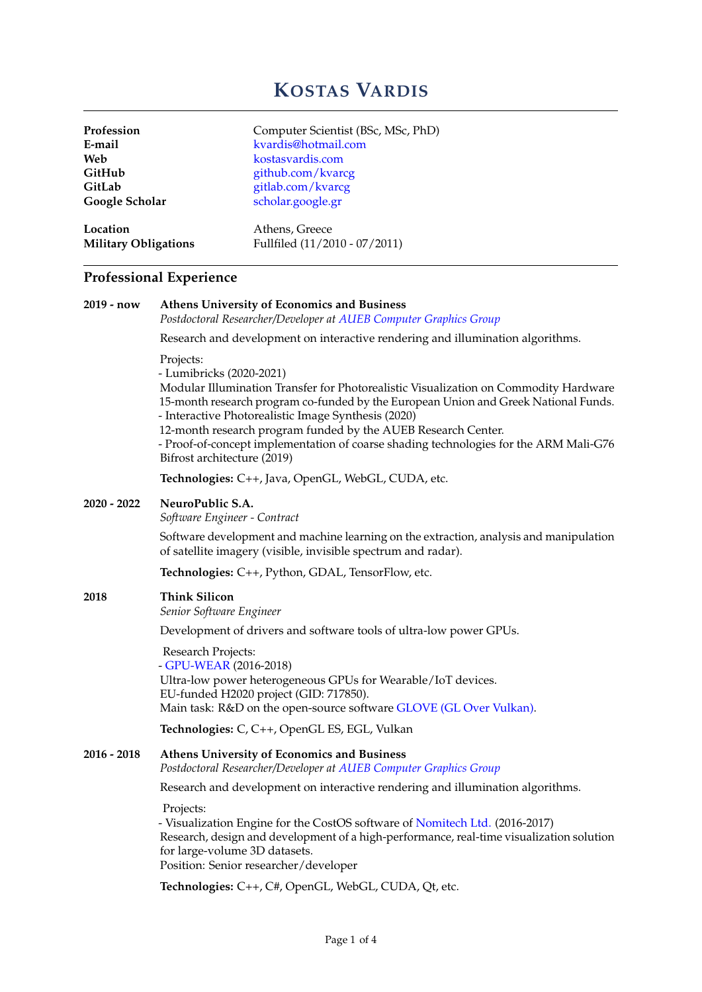# **KOSTAS VARDIS**

| Profession                  | Computer Scientist (BSc, MSc, PhD) |
|-----------------------------|------------------------------------|
| E-mail                      | kvardis@hotmail.com                |
| Web                         | kostasvardis.com                   |
| GitHub                      | github.com/kvarcg                  |
| GitLab                      | gitlab.com/kvarcg                  |
| Google Scholar              | scholar.google.gr                  |
| Location                    | Athens, Greece                     |
| <b>Military Obligations</b> | Fullfiled (11/2010 - 07/2011)      |

# **Professional Experience**

| 2019 - now  | <b>Athens University of Economics and Business</b><br>Postdoctoral Researcher/Developer at AUEB Computer Graphics Group                                                                                                                                                                                                                                                                                                                                              |  |  |  |
|-------------|----------------------------------------------------------------------------------------------------------------------------------------------------------------------------------------------------------------------------------------------------------------------------------------------------------------------------------------------------------------------------------------------------------------------------------------------------------------------|--|--|--|
|             | Research and development on interactive rendering and illumination algorithms.                                                                                                                                                                                                                                                                                                                                                                                       |  |  |  |
|             | Projects:<br>- Lumibricks (2020-2021)<br>Modular Illumination Transfer for Photorealistic Visualization on Commodity Hardware<br>15-month research program co-funded by the European Union and Greek National Funds.<br>- Interactive Photorealistic Image Synthesis (2020)<br>12-month research program funded by the AUEB Research Center.<br>- Proof-of-concept implementation of coarse shading technologies for the ARM Mali-G76<br>Bifrost architecture (2019) |  |  |  |
|             | Technologies: C++, Java, OpenGL, WebGL, CUDA, etc.                                                                                                                                                                                                                                                                                                                                                                                                                   |  |  |  |
| 2020 - 2022 | NeuroPublic S.A.<br>Software Engineer - Contract                                                                                                                                                                                                                                                                                                                                                                                                                     |  |  |  |
|             | Software development and machine learning on the extraction, analysis and manipulation<br>of satellite imagery (visible, invisible spectrum and radar).                                                                                                                                                                                                                                                                                                              |  |  |  |
|             | Technologies: C++, Python, GDAL, TensorFlow, etc.                                                                                                                                                                                                                                                                                                                                                                                                                    |  |  |  |
| 2018        | <b>Think Silicon</b><br>Senior Software Engineer                                                                                                                                                                                                                                                                                                                                                                                                                     |  |  |  |
|             | Development of drivers and software tools of ultra-low power GPUs.                                                                                                                                                                                                                                                                                                                                                                                                   |  |  |  |
|             | Research Projects:<br>- GPU-WEAR (2016-2018)<br>Ultra-low power heterogeneous GPUs for Wearable/IoT devices.<br>EU-funded H2020 project (GID: 717850).<br>Main task: R&D on the open-source software GLOVE (GL Over Vulkan).                                                                                                                                                                                                                                         |  |  |  |
|             | Technologies: C, C++, OpenGL ES, EGL, Vulkan                                                                                                                                                                                                                                                                                                                                                                                                                         |  |  |  |
| 2016 - 2018 | Athens University of Economics and Business<br>Postdoctoral Researcher/Developer at AUEB Computer Graphics Group                                                                                                                                                                                                                                                                                                                                                     |  |  |  |
|             | Research and development on interactive rendering and illumination algorithms.                                                                                                                                                                                                                                                                                                                                                                                       |  |  |  |
|             | Projects:<br>- Visualization Engine for the CostOS software of Nomitech Ltd. (2016-2017)<br>Research, design and development of a high-performance, real-time visualization solution<br>for large-volume 3D datasets.<br>Position: Senior researcher/developer                                                                                                                                                                                                       |  |  |  |
|             | Technologies: C++, C#, OpenGL, WebGL, CUDA, Qt, etc.                                                                                                                                                                                                                                                                                                                                                                                                                 |  |  |  |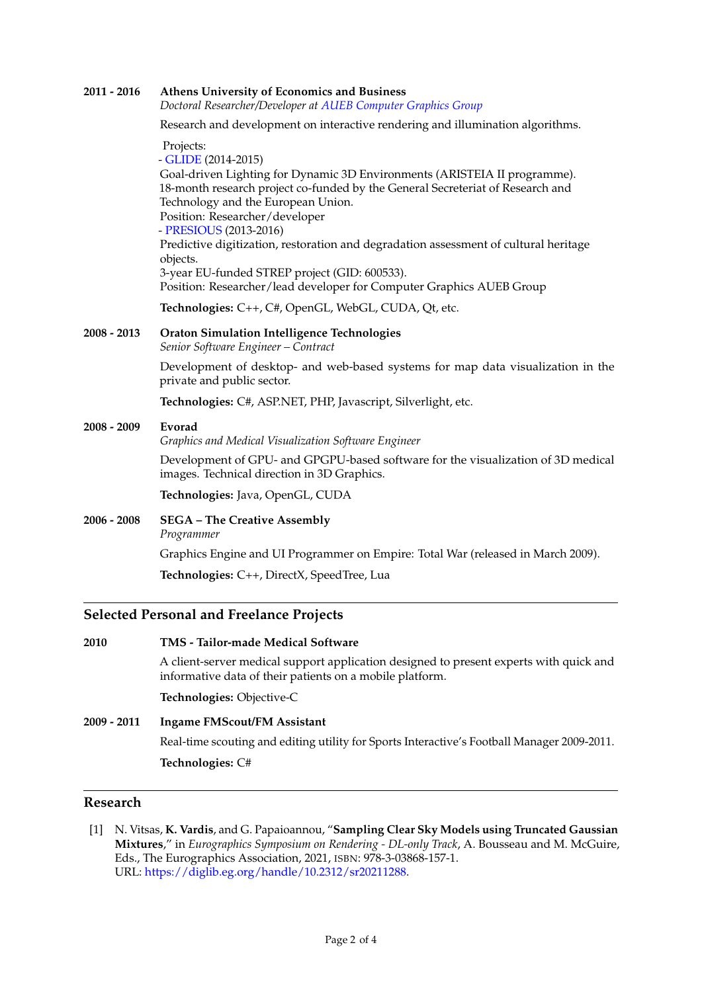## **2011 - 2016 [Athens University of Economics and Business](https://www.aueb.gr)** *Doctoral Researcher/Developer at [AUEB Computer Graphics Group](http://graphics.cs.aueb.gr)* Research and development on interactive rendering and illumination algorithms. Projects: - [GLIDE](http://glide.aueb.gr/) (2014-2015) Goal-driven Lighting for Dynamic 3D Environments (ARISTEIA II programme). 18-month research project co-funded by the General Secreteriat of Research and Technology and the European Union. Position: Researcher/developer - [PRESIOUS](http://www.presious.eu/) (2013-2016) Predictive digitization, restoration and degradation assessment of cultural heritage objects. 3-year EU-funded STREP project (GID: 600533). Position: Researcher/lead developer for Computer Graphics AUEB Group **Technologies:** C++, C#, OpenGL, WebGL, CUDA, Qt, etc. **2008 - 2013 [Oraton Simulation Intelligence Technologies](https://sgptaccon.com)** *Senior Software Engineer – Contract* Development of desktop- and web-based systems for map data visualization in the private and public sector. **Technologies:** C#, ASP.NET, PHP, Javascript, Silverlight, etc. **2008 - 2009 [Evorad](http://www.evorad.com/)** *Graphics and Medical Visualization Software Engineer* Development of GPU- and GPGPU-based software for the visualization of 3D medical images. Technical direction in 3D Graphics. **Technologies:** Java, OpenGL, CUDA **2006 - 2008 [SEGA – The Creative Assembly](http://www.creative-assembly.com)** *Programmer* Graphics Engine and UI Programmer on Empire: Total War (released in March 2009). **Technologies:** C++, DirectX, SpeedTree, Lua **Selected Personal and Freelance Projects**

**2010 [TMS - Tailor-made Medical Software](https://tms.com.gr)** A client-server medical support application designed to present experts with quick and informative data of their patients on a mobile platform.

**Technologies:** Objective-C

**2009 - 2011 Ingame FMScout/FM Assistant** Real-time scouting and editing utility for Sports Interactive's Football Manager 2009-2011. **Technologies:** C#

#### **Research**

[1] N. Vitsas, **K. Vardis**, and G. Papaioannou, "**Sampling Clear Sky Models using Truncated Gaussian Mixtures**," in *Eurographics Symposium on Rendering - DL-only Track*, A. Bousseau and M. McGuire, Eds., The Eurographics Association, 2021, ISBN: 978-3-03868-157-1. URL: [https://diglib.eg.org/handle/10.2312/sr20211288.](https://diglib.eg.org/handle/10.2312/sr20211288)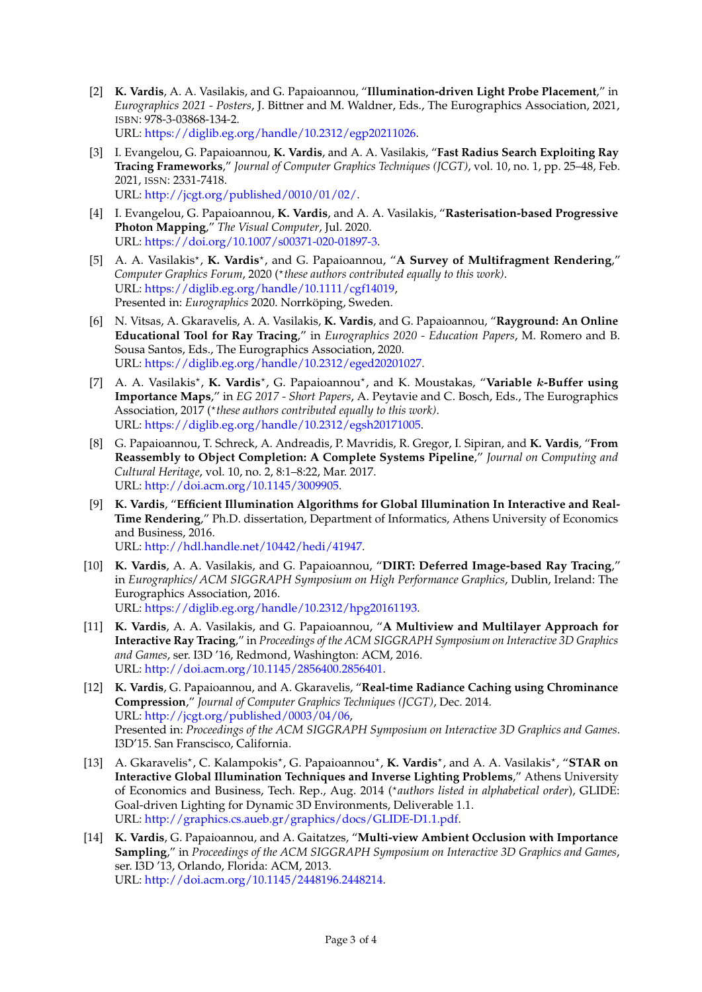- [2] **K. Vardis**, A. A. Vasilakis, and G. Papaioannou, "**Illumination-driven Light Probe Placement**," in *Eurographics 2021 - Posters*, J. Bittner and M. Waldner, Eds., The Eurographics Association, 2021, ISBN: 978-3-03868-134-2. URL: [https://diglib.eg.org/handle/10.2312/egp20211026.](https://diglib.eg.org/handle/10.2312/egp20211026)
- [3] I. Evangelou, G. Papaioannou, **K. Vardis**, and A. A. Vasilakis, "**Fast Radius Search Exploiting Ray Tracing Frameworks**," *Journal of Computer Graphics Techniques (JCGT)*, vol. 10, no. 1, pp. 25–48, Feb. 2021, ISSN: 2331-7418. URL: [http://jcgt.org/published/0010/01/02/.](http://jcgt.org/published/0010/01/02/)
- [4] I. Evangelou, G. Papaioannou, **K. Vardis**, and A. A. Vasilakis, "**Rasterisation-based Progressive Photon Mapping**," *The Visual Computer*, Jul. 2020. URL: [https://doi.org/10.1007/s00371-020-01897-3.](https://doi.org/10.1007/s00371-020-01897-3)
- [5] A. A. Vasilakis<sup>\*</sup>, K. Vardis<sup>\*</sup>, and G. Papaioannou, "A Survey of Multifragment Rendering," Computer Graphics Forum, 2020 (\*these authors contributed equally to this work). URL: [https://diglib.eg.org/handle/10.1111/cgf14019,](https://diglib.eg.org/handle/10.1111/cgf14019) Presented in: *Eurographics* 2020. Norrköping, Sweden.
- [6] N. Vitsas, A. Gkaravelis, A. A. Vasilakis, **K. Vardis**, and G. Papaioannou, "**Rayground: An Online Educational Tool for Ray Tracing**," in *Eurographics 2020 - Education Papers*, M. Romero and B. Sousa Santos, Eds., The Eurographics Association, 2020. URL: [https://diglib.eg.org/handle/10.2312/eged20201027.](https://diglib.eg.org/handle/10.2312/eged20201027)
- [7] A. A. Vasilakis<sup>\*</sup>, K. Vardis<sup>\*</sup>, G. Papaioannou<sup>\*</sup>, and K. Moustakas, "Variable k-Buffer using **Importance Maps**," in *EG 2017 - Short Papers*, A. Peytavie and C. Bosch, Eds., The Eurographics Association, 2017 (\*these authors contributed equally to this work). URL: [https://diglib.eg.org/handle/10.2312/egsh20171005.](https://diglib.eg.org/handle/10.2312/egsh20171005)
- [8] G. Papaioannou, T. Schreck, A. Andreadis, P. Mavridis, R. Gregor, I. Sipiran, and **K. Vardis**, "**From Reassembly to Object Completion: A Complete Systems Pipeline**," *Journal on Computing and Cultural Heritage*, vol. 10, no. 2, 8:1–8:22, Mar. 2017. URL: [http://doi.acm.org/10.1145/3009905.](http://doi.acm.org/10.1145/3009905)
- [9] **K. Vardis**, "**Efficient Illumination Algorithms for Global Illumination In Interactive and Real-Time Rendering**," Ph.D. dissertation, Department of Informatics, Athens University of Economics and Business, 2016. URL: [http://hdl.handle.net/10442/hedi/41947.](http://hdl.handle.net/10442/hedi/41947)
- [10] **K. Vardis**, A. A. Vasilakis, and G. Papaioannou, "**DIRT: Deferred Image-based Ray Tracing**," in *Eurographics/ ACM SIGGRAPH Symposium on High Performance Graphics*, Dublin, Ireland: The Eurographics Association, 2016. URL: [https://diglib.eg.org/handle/10.2312/hpg20161193.](https://diglib.eg.org/handle/10.2312/hpg20161193)
- [11] **K. Vardis**, A. A. Vasilakis, and G. Papaioannou, "**A Multiview and Multilayer Approach for Interactive Ray Tracing**," in *Proceedings of the ACM SIGGRAPH Symposium on Interactive 3D Graphics and Games*, ser. I3D '16, Redmond, Washington: ACM, 2016. URL: [http://doi.acm.org/10.1145/2856400.2856401.](http://doi.acm.org/10.1145/2856400.2856401)
- [12] **K. Vardis**, G. Papaioannou, and A. Gkaravelis, "**Real-time Radiance Caching using Chrominance Compression**," *Journal of Computer Graphics Techniques (JCGT)*, Dec. 2014. URL: [http://jcgt.org/published/0003/04/06,](http://jcgt.org/published/0003/04/06) Presented in: *Proceedings of the ACM SIGGRAPH Symposium on Interactive 3D Graphics and Games*. I3D'15. San Franscisco, California.
- [13] A. Gkaravelis<sup>\*</sup>, C. Kalampokis<sup>\*</sup>, G. Papaioannou<sup>\*</sup>, **K. Vardis**<sup>\*</sup>, and A. A. Vasilakis<sup>\*</sup>, "**STAR on Interactive Global Illumination Techniques and Inverse Lighting Problems**," Athens University of Economics and Business, Tech. Rep., Aug. 2014 (*\*authors listed in alphabetical order*), GLIDE: Goal-driven Lighting for Dynamic 3D Environments, Deliverable 1.1. URL: [http://graphics.cs.aueb.gr/graphics/docs/GLIDE-D1.1.pdf.](http://graphics.cs.aueb.gr/graphics/docs/GLIDE-D1.1.pdf)
- [14] **K. Vardis**, G. Papaioannou, and A. Gaitatzes, "**Multi-view Ambient Occlusion with Importance Sampling**," in *Proceedings of the ACM SIGGRAPH Symposium on Interactive 3D Graphics and Games*, ser. I3D '13, Orlando, Florida: ACM, 2013. URL: [http://doi.acm.org/10.1145/2448196.2448214.](http://doi.acm.org/10.1145/2448196.2448214)